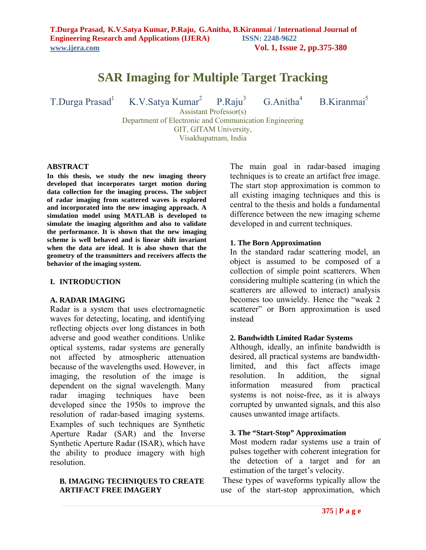# **SAR Imaging for Multiple Target Tracking**

T.Durga Prasad<sup>1</sup> K.V.Satya Kumar<sup>2</sup> P.Raju<sup>3</sup> G.Anitha<sup>4</sup> B.Kiranmai<sup>5</sup>

Assistant Professor(s) Department of Electronic and Communication Engineering GIT, GITAM University, Visakhapatnam, India

#### **ABSTRACT**

**In this thesis, we study the new imaging theory developed that incorporates target motion during data collection for the imaging process. The subject of radar imaging from scattered waves is explored and incorporated into the new imaging approach. A simulation model using MATLAB is developed to simulate the imaging algorithm and also to validate the performance. It is shown that the new imaging scheme is well behaved and is linear shift invariant when the data are ideal. It is also shown that the geometry of the transmitters and receivers affects the behavior of the imaging system.**

#### **I. INTRODUCTION**

#### **A. RADAR IMAGING**

Radar is a system that uses electromagnetic waves for detecting, locating, and identifying reflecting objects over long distances in both adverse and good weather conditions. Unlike optical systems, radar systems are generally not affected by atmospheric attenuation because of the wavelengths used. However, in imaging, the resolution of the image is dependent on the signal wavelength. Many radar imaging techniques have been developed since the 1950s to improve the resolution of radar-based imaging systems. Examples of such techniques are Synthetic Aperture Radar (SAR) and the Inverse Synthetic Aperture Radar (ISAR), which have the ability to produce imagery with high resolution.

# **B. IMAGING TECHNIQUES TO CREATE ARTIFACT FREE IMAGERY**

The main goal in radar-based imaging techniques is to create an artifact free image. The start stop approximation is common to all existing imaging techniques and this is central to the thesis and holds a fundamental difference between the new imaging scheme developed in and current techniques.

### **1. The Born Approximation**

In the standard radar scattering model, an object is assumed to be composed of a collection of simple point scatterers. When considering multiple scattering (in which the scatterers are allowed to interact) analysis becomes too unwieldy. Hence the "weak 2 scatterer" or Born approximation is used instead

#### **2. Bandwidth Limited Radar Systems**

Although, ideally, an infinite bandwidth is desired, all practical systems are bandwidthlimited, and this fact affects image resolution. In addition, the signal information measured from practical systems is not noise-free, as it is always corrupted by unwanted signals, and this also causes unwanted image artifacts.

#### **3. The "Start-Stop" Approximation**

Most modern radar systems use a train of pulses together with coherent integration for the detection of a target and for an estimation of the target's velocity.

These types of waveforms typically allow the use of the start-stop approximation, which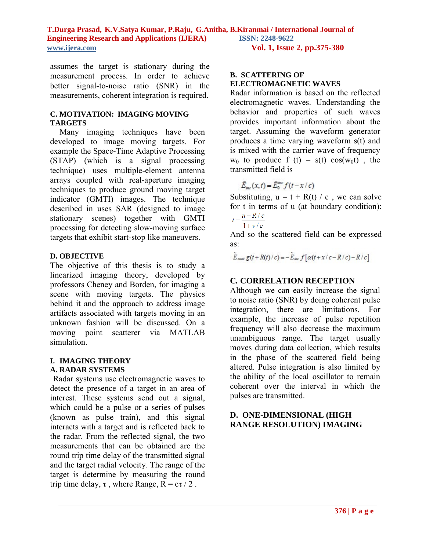assumes the target is stationary during the measurement process. In order to achieve better signal-to-noise ratio (SNR) in the measurements, coherent integration is required.

# **C. MOTIVATION: IMAGING MOVING TARGETS**

Many imaging techniques have been developed to image moving targets. For example the Space-Time Adaptive Processing (STAP) (which is a signal processing technique) uses multiple-element antenna arrays coupled with real-aperture imaging techniques to produce ground moving target indicator (GMTI) images. The technique described in uses SAR (designed to image stationary scenes) together with GMTI processing for detecting slow-moving surface targets that exhibit start-stop like maneuvers.

# **D. OBJECTIVE**

The objective of this thesis is to study a linearized imaging theory, developed by professors Cheney and Borden, for imaging a scene with moving targets. The physics behind it and the approach to address image artifacts associated with targets moving in an unknown fashion will be discussed. On a moving point scatterer via MATLAB simulation.

# **I. IMAGING THEORY A. RADAR SYSTEMS**

Radar systems use electromagnetic waves to detect the presence of a target in an area of interest. These systems send out a signal, which could be a pulse or a series of pulses (known as pulse train), and this signal interacts with a target and is reflected back to the radar. From the reflected signal, the two measurements that can be obtained are the round trip time delay of the transmitted signal and the target radial velocity. The range of the target is determine by measuring the round trip time delay,  $\tau$ , where Range,  $R = c\tau / 2$ .

# **B. SCATTERING OF ELECTROMAGNETIC WAVES**

Radar information is based on the reflected electromagnetic waves. Understanding the behavior and properties of such waves provides important information about the target. Assuming the waveform generator produces a time varying waveform s(t) and is mixed with the carrier wave of frequency  $w_0$  to produce f (t) = s(t) cos(w<sub>0</sub>t), the transmitted field is

$$
\tilde{E}_{\scriptscriptstyle \text{inc}}(x,t) = \tilde{E}_{0}^{\scriptscriptstyle \text{inc}} f(t - x/c)
$$

Substituting,  $u = t + R(t) / c$ , we can solve for t in terms of u (at boundary condition):  $u - R/c$ 

$$
t = \frac{a}{1 + v/c}
$$

And so the scattered field can be expressed as:

$$
\tilde{E}_{\text{scatt}} g(t + R(t)/c) = -\tilde{E}_{\text{inc}} f\left[\alpha(t + x/c - R/c) - R/c\right]
$$

# **C***.* **CORRELATION RECEPTION**

Although we can easily increase the signal to noise ratio (SNR) by doing coherent pulse integration, there are limitations. For example, the increase of pulse repetition frequency will also decrease the maximum unambiguous range. The target usually moves during data collection, which results in the phase of the scattered field being altered. Pulse integration is also limited by the ability of the local oscillator to remain coherent over the interval in which the pulses are transmitted.

# **D. ONE-DIMENSIONAL (HIGH RANGE RESOLUTION) IMAGING**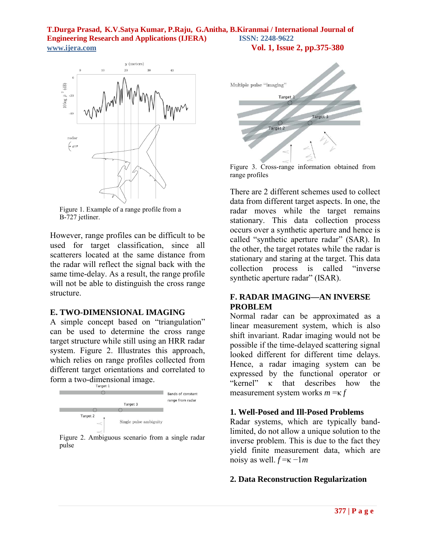

Figure 1. Example of a range profile from a B-727 jetliner.

However, range profiles can be difficult to be used for target classification, since all scatterers located at the same distance from the radar will reflect the signal back with the same time-delay. As a result, the range profile will not be able to distinguish the cross range structure.

#### **E. TWO-DIMENSIONAL IMAGING**

A simple concept based on "triangulation" can be used to determine the cross range target structure while still using an HRR radar system. Figure 2. Illustrates this approach, which relies on range profiles collected from different target orientations and correlated to form a two-dimensional image.



Figure 2. Ambiguous scenario from a single radar pulse



Figure 3. Cross-range information obtained from range profiles

There are 2 different schemes used to collect data from different target aspects. In one, the radar moves while the target remains stationary. This data collection process occurs over a synthetic aperture and hence is called "synthetic aperture radar" (SAR). In the other, the target rotates while the radar is stationary and staring at the target. This data collection process is called "inverse synthetic aperture radar" (ISAR).

# **F. RADAR IMAGING—AN INVERSE PROBLEM**

Normal radar can be approximated as a linear measurement system, which is also shift invariant. Radar imaging would not be possible if the time-delayed scattering signal looked different for different time delays. Hence, a radar imaging system can be expressed by the functional operator or "kernel" κ that describes how the measurement system works *m* =κ *f*

### **1. Well-Posed and Ill-Posed Problems**

Radar systems, which are typically bandlimited, do not allow a unique solution to the inverse problem. This is due to the fact they yield finite measurement data, which are noisy as well.  $f = \kappa - 1m$ 

# **2. Data Reconstruction Regularization**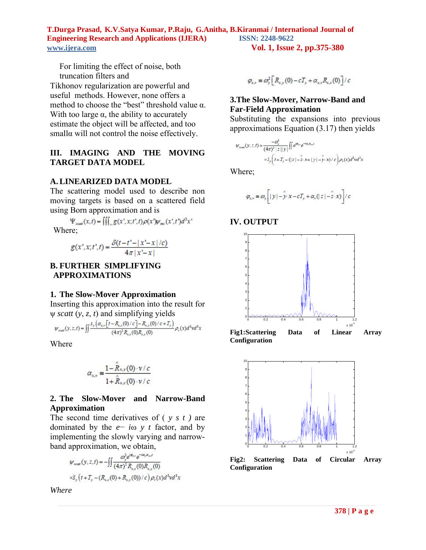For limiting the effect of noise, both truncation filters and

Tikhonov regularization are powerful and useful methods. However, none offers a method to choose the "best" threshold value  $\alpha$ . With too large  $\alpha$ , the ability to accurately estimate the object will be affected, and too smallα will not control the noise effectively.

# **III. IMAGING AND THE MOVING TARGET DATA MODEL**

# **A. LINEARIZED DATA MODEL**

The scattering model used to describe non moving targets is based on a scattered field using Born approximation and is

 $\Psi_{scatt}(x,t) = \iiint_{R} g(x',x,t',t) \rho(x') \psi_{inc}(x',t') d^3x'$ Where;

$$
g(x', x; t', t) = \frac{\delta(t - t' - |x' - x|/c)}{4\pi |x' - x|}
$$

**B. FURTHER SIMPLIFYING APPROXIMATIONS**

### **1. The Slow-Mover Approximation**

Inserting this approximation into the result for ψ *scatt* (*y*, *z*, *t*) and simplifying yields

$$
\psi_{\text{scatt}}(y, z, t) = \iint \frac{s_y \left( \alpha_{x, v} \left[ t - R_{x, z}(0) / c \right] - R_{x, y}(0) / c + T_y \right)}{(4\pi)^2 R_{x, z}(0) R_{x, y}(0)} \rho_v(x) d^3v d^3x
$$

Where

$$
\alpha_{x,v} = \frac{1 - \hat{R}_{x,y}(0) \cdot v/c}{1 + \hat{R}_{x,z}(0) \cdot v/c}
$$

# **2. The Slow-Mover and Narrow-Band Approximation**

The second time derivatives of ( *y s t )* are dominated by the *e*− *i*ω *y t* factor, and by implementing the slowly varying and narrowband approximation, we obtain,

$$
\psi_{\text{scatt}}(y, z, t) = -\iint \frac{\omega_y^2 e^{i\phi_{xy}} e^{-i\omega_y \alpha_x t}}{(4\pi)^2 R_{x,z}(0) R_{x,y}(0)}
$$
  
 
$$
\times \tilde{s}_y(t + T_y - (R_{x,z}(0) + R_{x,y}(0)) / c) \rho_v(x) d^3 v d^3 x
$$

*Where*

$$
\varphi_{x,v} \equiv \omega_y^2 \left[ R_{x,y}(0) - c T_y + \alpha_{x,v} R_{x,z}(0) \right] / c
$$

# **3.The Slow-Mover, Narrow-Band and Far-Field Approximation**

Substituting the expansions into previous approximations Equation (3.17) then yields

$$
\psi_{\text{scatt}}(y, z, t) \approx \frac{-\omega_y^2}{(4\pi)^2 |z||y|} \iint e^{i\varphi_{x,y}} e^{-i\omega_y \alpha_{x,y}t}
$$

$$
\times \tilde{s}_y \left( t + T_y - (|z| - 2 \cdot x + |y| - y \cdot x) / c \right) \rho_v(x) d^3 x d^3 x
$$

Where;

$$
\varphi_{x,v} \equiv \varpi_y \left[ \left| \, y \, \right| - \hat{y} \cdot x - c T_y + \alpha_v ( \left| \, z \, \right| - \hat{z} \cdot x ) \right] / c
$$





**Fig1:Scattering Data of Linear Array Configuration**

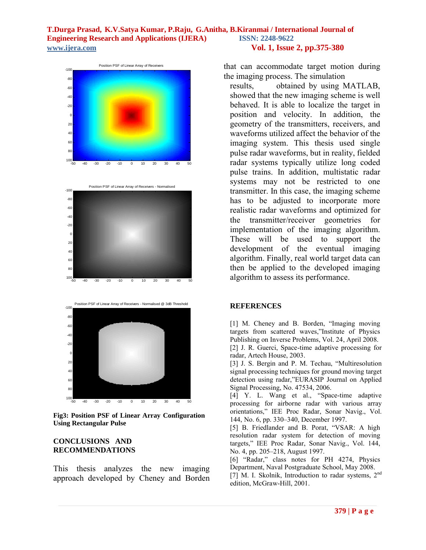





**Fig3: Position PSF of Linear Array Configuration Using Rectangular Pulse**

# **CONCLUSIONS AND RECOMMENDATIONS**

This thesis analyzes the new imaging approach developed by Cheney and Borden

that can accommodate target motion during the imaging process. The simulation

results, obtained by using MATLAB, showed that the new imaging scheme is well behaved. It is able to localize the target in position and velocity. In addition, the geometry of the transmitters, receivers, and waveforms utilized affect the behavior of the imaging system. This thesis used single pulse radar waveforms, but in reality, fielded radar systems typically utilize long coded pulse trains. In addition, multistatic radar systems may not be restricted to one transmitter. In this case, the imaging scheme has to be adjusted to incorporate more realistic radar waveforms and optimized for the transmitter/receiver geometries for implementation of the imaging algorithm. These will be used to support the development of the eventual imaging algorithm. Finally, real world target data can then be applied to the developed imaging algorithm to assess its performance.

# **REFERENCES**

[1] M. Cheney and B. Borden, "Imaging moving targets from scattered waves,"Institute of Physics Publishing on Inverse Problems, Vol. 24, April 2008.

[2] J. R. Guerci, Space-time adaptive processing for radar, Artech House, 2003.

[3] J. S. Bergin and P. M. Techau, "Multiresolution signal processing techniques for ground moving target detection using radar,"EURASIP Journal on Applied Signal Processing, No. 47534, 2006.

[4] Y. L. Wang et al., "Space-time adaptive processing for airborne radar with various array orientations," IEE Proc Radar, Sonar Navig., Vol. 144, No. 6, pp. 330–340, December 1997.

[5] B. Friedlander and B. Porat, "VSAR: A high resolution radar system for detection of moving targets," IEE Proc Radar, Sonar Navig., Vol. 144, No. 4, pp. 205–218, August 1997.

[6] "Radar," class notes for PH 4274, Physics Department, Naval Postgraduate School, May 2008. [7] M. I. Skolnik, Introduction to radar systems, 2nd edition, McGraw-Hill, 2001.